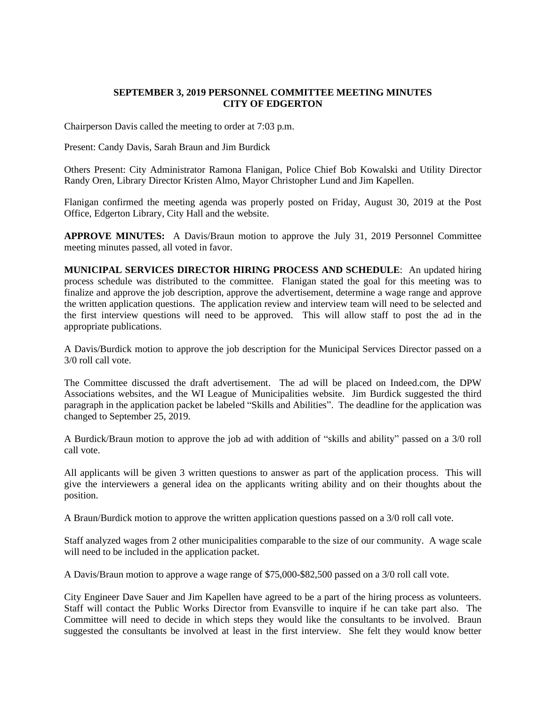## **SEPTEMBER 3, 2019 PERSONNEL COMMITTEE MEETING MINUTES CITY OF EDGERTON**

Chairperson Davis called the meeting to order at 7:03 p.m.

Present: Candy Davis, Sarah Braun and Jim Burdick

Others Present: City Administrator Ramona Flanigan, Police Chief Bob Kowalski and Utility Director Randy Oren, Library Director Kristen Almo, Mayor Christopher Lund and Jim Kapellen.

Flanigan confirmed the meeting agenda was properly posted on Friday, August 30, 2019 at the Post Office, Edgerton Library, City Hall and the website.

**APPROVE MINUTES:** A Davis/Braun motion to approve the July 31, 2019 Personnel Committee meeting minutes passed, all voted in favor.

**MUNICIPAL SERVICES DIRECTOR HIRING PROCESS AND SCHEDULE**: An updated hiring process schedule was distributed to the committee. Flanigan stated the goal for this meeting was to finalize and approve the job description, approve the advertisement, determine a wage range and approve the written application questions. The application review and interview team will need to be selected and the first interview questions will need to be approved. This will allow staff to post the ad in the appropriate publications.

A Davis/Burdick motion to approve the job description for the Municipal Services Director passed on a 3/0 roll call vote.

The Committee discussed the draft advertisement. The ad will be placed on Indeed.com, the DPW Associations websites, and the WI League of Municipalities website. Jim Burdick suggested the third paragraph in the application packet be labeled "Skills and Abilities". The deadline for the application was changed to September 25, 2019.

A Burdick/Braun motion to approve the job ad with addition of "skills and ability" passed on a 3/0 roll call vote.

All applicants will be given 3 written questions to answer as part of the application process. This will give the interviewers a general idea on the applicants writing ability and on their thoughts about the position.

A Braun/Burdick motion to approve the written application questions passed on a 3/0 roll call vote.

Staff analyzed wages from 2 other municipalities comparable to the size of our community. A wage scale will need to be included in the application packet.

A Davis/Braun motion to approve a wage range of \$75,000-\$82,500 passed on a 3/0 roll call vote.

City Engineer Dave Sauer and Jim Kapellen have agreed to be a part of the hiring process as volunteers. Staff will contact the Public Works Director from Evansville to inquire if he can take part also. The Committee will need to decide in which steps they would like the consultants to be involved. Braun suggested the consultants be involved at least in the first interview. She felt they would know better